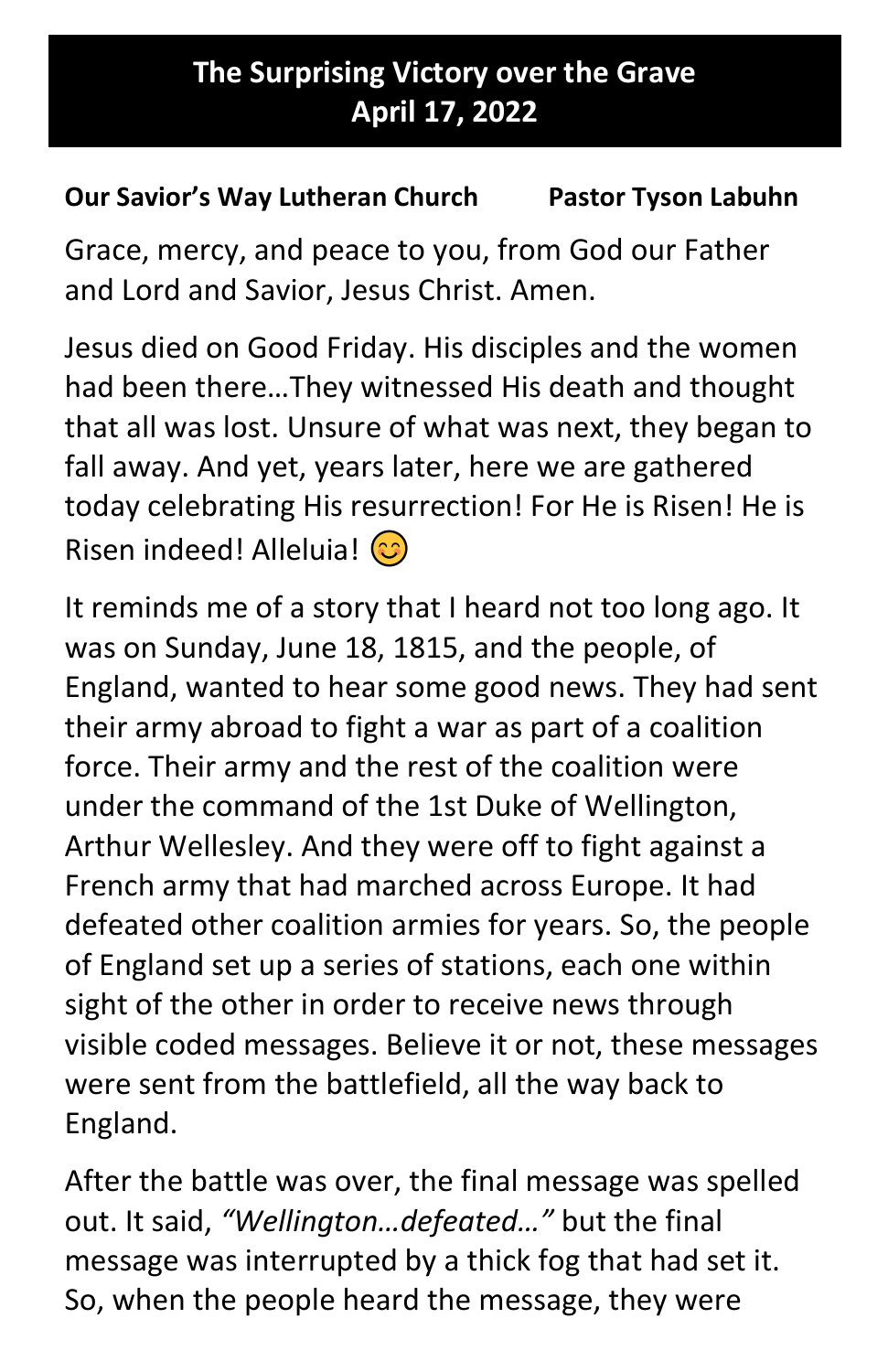## The Surprising Victory over the Grave April 17, 2022

## Our Savior's Way Lutheran Church Pastor Tyson Labuhn

Grace, mercy, and peace to you, from God our Father and Lord and Savior, Jesus Christ. Amen.

Jesus died on Good Friday. His disciples and the women had been there…They witnessed His death and thought that all was lost. Unsure of what was next, they began to fall away. And yet, years later, here we are gathered today celebrating His resurrection! For He is Risen! He is Risen indeed! Alleluia!  $\odot$ 

It reminds me of a story that I heard not too long ago. It was on Sunday, June 18, 1815, and the people, of England, wanted to hear some good news. They had sent their army abroad to fight a war as part of a coalition force. Their army and the rest of the coalition were under the command of the 1st Duke of Wellington, Arthur Wellesley. And they were off to fight against a French army that had marched across Europe. It had defeated other coalition armies for years. So, the people of England set up a series of stations, each one within sight of the other in order to receive news through visible coded messages. Believe it or not, these messages were sent from the battlefield, all the way back to England.

After the battle was over, the final message was spelled out. It said, "Wellington…defeated…" but the final message was interrupted by a thick fog that had set it. So, when the people heard the message, they were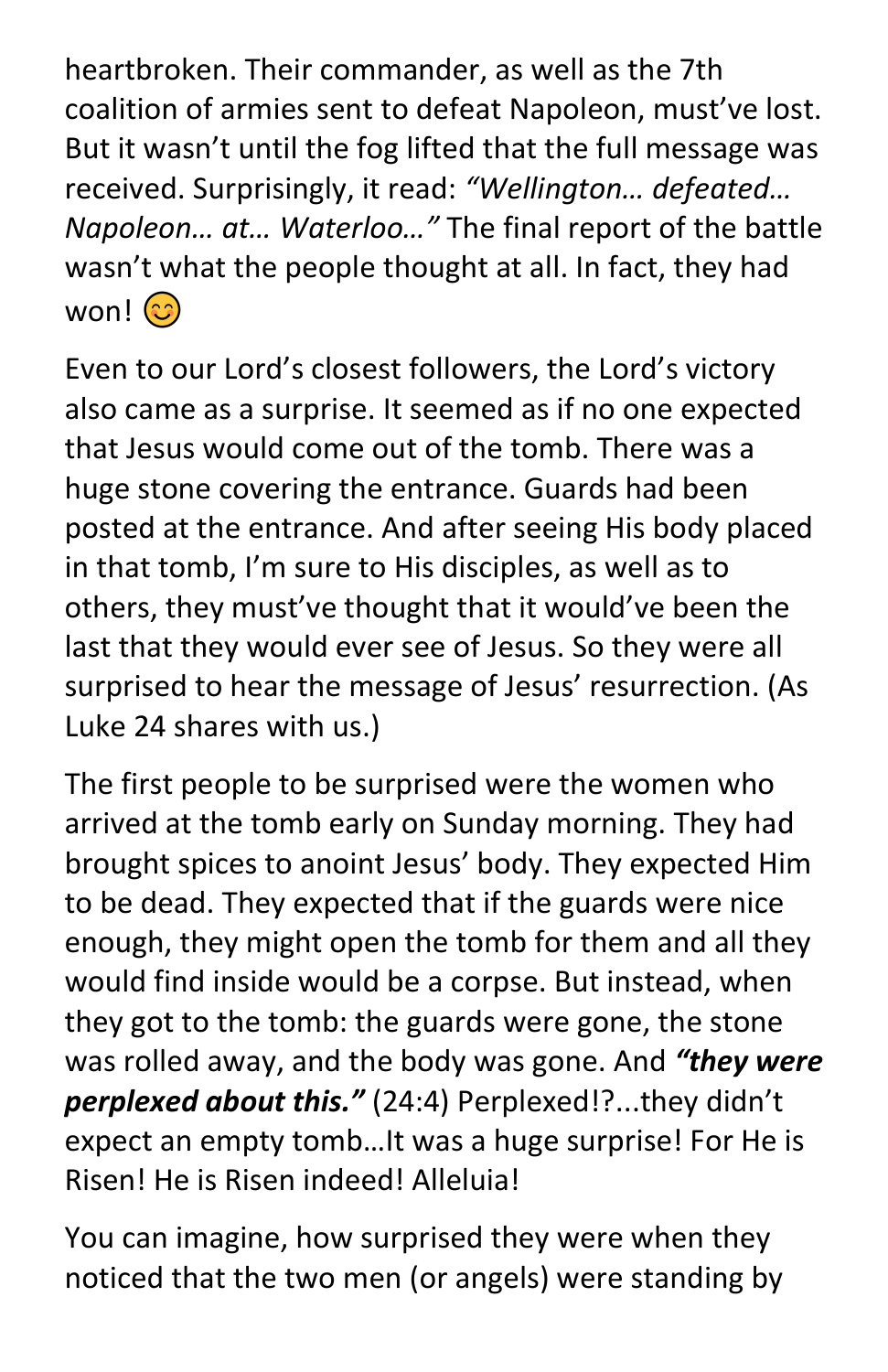heartbroken. Their commander, as well as the 7th coalition of armies sent to defeat Napoleon, must've lost. But it wasn't until the fog lifted that the full message was received. Surprisingly, it read: "Wellington… defeated… Napoleon… at… Waterloo…" The final report of the battle wasn't what the people thought at all. In fact, they had  $won!$   $\odot$ 

Even to our Lord's closest followers, the Lord's victory also came as a surprise. It seemed as if no one expected that Jesus would come out of the tomb. There was a huge stone covering the entrance. Guards had been posted at the entrance. And after seeing His body placed in that tomb, I'm sure to His disciples, as well as to others, they must've thought that it would've been the last that they would ever see of Jesus. So they were all surprised to hear the message of Jesus' resurrection. (As Luke 24 shares with us.)

The first people to be surprised were the women who arrived at the tomb early on Sunday morning. They had brought spices to anoint Jesus' body. They expected Him to be dead. They expected that if the guards were nice enough, they might open the tomb for them and all they would find inside would be a corpse. But instead, when they got to the tomb: the guards were gone, the stone was rolled away, and the body was gone. And "they were perplexed about this." (24:4) Perplexed!?...they didn't expect an empty tomb…It was a huge surprise! For He is Risen! He is Risen indeed! Alleluia!

You can imagine, how surprised they were when they noticed that the two men (or angels) were standing by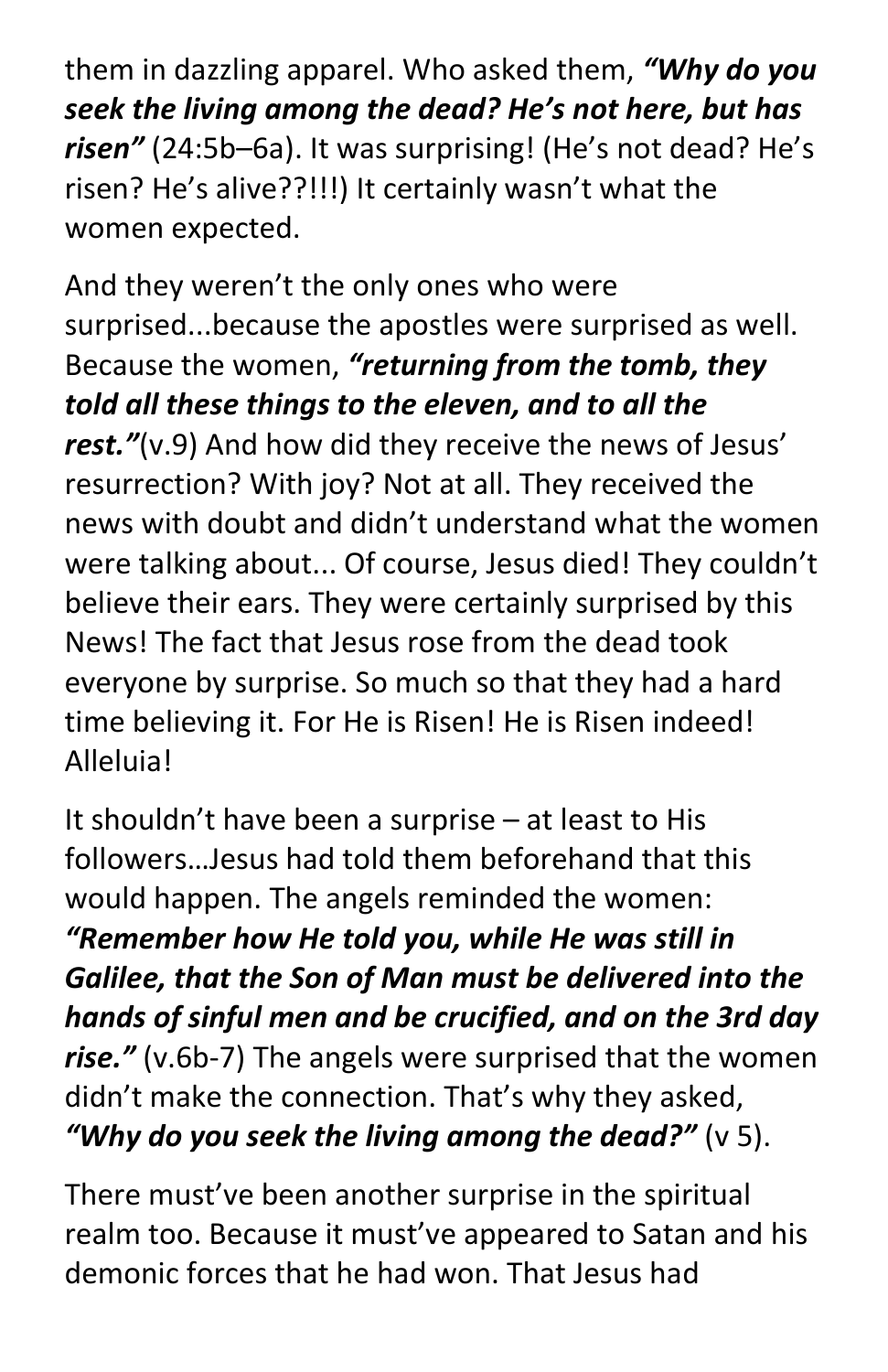them in dazzling apparel. Who asked them, "Why do you seek the living among the dead? He's not here, but has risen" (24:5b–6a). It was surprising! (He's not dead? He's risen? He's alive??!!!) It certainly wasn't what the women expected.

And they weren't the only ones who were surprised...because the apostles were surprised as well. Because the women, "returning from the tomb, they told all these things to the eleven, and to all the rest."(v.9) And how did they receive the news of Jesus' resurrection? With joy? Not at all. They received the news with doubt and didn't understand what the women were talking about... Of course, Jesus died! They couldn't believe their ears. They were certainly surprised by this News! The fact that Jesus rose from the dead took everyone by surprise. So much so that they had a hard time believing it. For He is Risen! He is Risen indeed! Alleluia!

It shouldn't have been a surprise – at least to His followers…Jesus had told them beforehand that this would happen. The angels reminded the women: "Remember how He told you, while He was still in Galilee, that the Son of Man must be delivered into the hands of sinful men and be crucified, and on the 3rd day rise." (v.6b-7) The angels were surprised that the women didn't make the connection. That's why they asked, "Why do you seek the living among the dead?"  $(v 5)$ .

There must've been another surprise in the spiritual realm too. Because it must've appeared to Satan and his demonic forces that he had won. That Jesus had